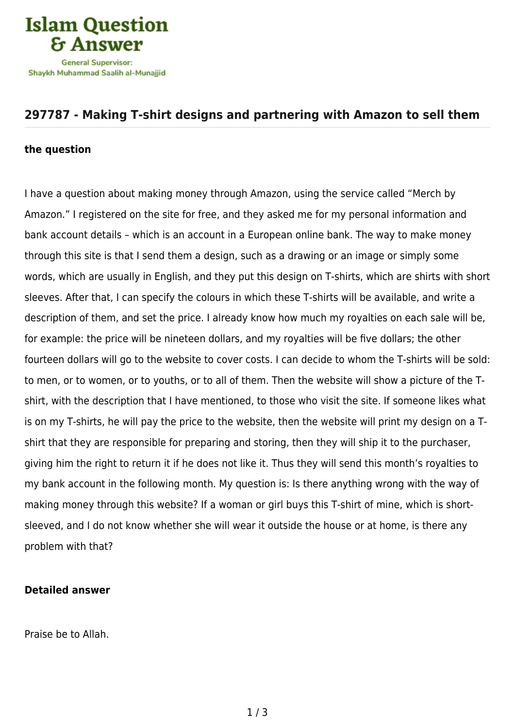

## **[297787 - Making T-shirt designs and partnering with Amazon to sell them](https://islamqa.com/en/answers/297787/making-t-shirt-designs-and-partnering-with-amazon-to-sell-them)**

## **the question**

I have a question about making money through Amazon, using the service called "Merch by Amazon." I registered on the site for free, and they asked me for my personal information and bank account details – which is an account in a European online bank. The way to make money through this site is that I send them a design, such as a drawing or an image or simply some words, which are usually in English, and they put this design on T-shirts, which are shirts with short sleeves. After that, I can specify the colours in which these T-shirts will be available, and write a description of them, and set the price. I already know how much my royalties on each sale will be, for example: the price will be nineteen dollars, and my royalties will be five dollars; the other fourteen dollars will go to the website to cover costs. I can decide to whom the T-shirts will be sold: to men, or to women, or to youths, or to all of them. Then the website will show a picture of the Tshirt, with the description that I have mentioned, to those who visit the site. If someone likes what is on my T-shirts, he will pay the price to the website, then the website will print my design on a Tshirt that they are responsible for preparing and storing, then they will ship it to the purchaser, giving him the right to return it if he does not like it. Thus they will send this month's royalties to my bank account in the following month. My question is: Is there anything wrong with the way of making money through this website? If a woman or girl buys this T-shirt of mine, which is shortsleeved, and I do not know whether she will wear it outside the house or at home, is there any problem with that?

## **Detailed answer**

Praise be to Allah.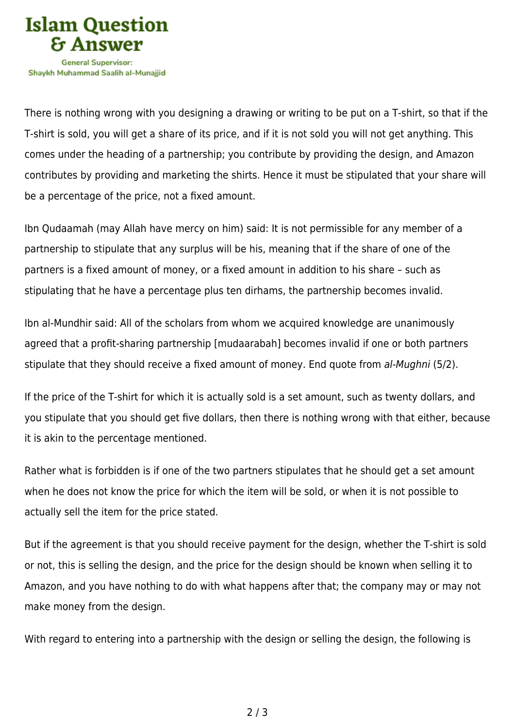

There is nothing wrong with you designing a drawing or writing to be put on a T-shirt, so that if the T-shirt is sold, you will get a share of its price, and if it is not sold you will not get anything. This comes under the heading of a partnership; you contribute by providing the design, and Amazon contributes by providing and marketing the shirts. Hence it must be stipulated that your share will be a percentage of the price, not a fixed amount.

Ibn Qudaamah (may Allah have mercy on him) said: It is not permissible for any member of a partnership to stipulate that any surplus will be his, meaning that if the share of one of the partners is a fixed amount of money, or a fixed amount in addition to his share – such as stipulating that he have a percentage plus ten dirhams, the partnership becomes invalid.

Ibn al-Mundhir said: All of the scholars from whom we acquired knowledge are unanimously agreed that a profit-sharing partnership [mudaarabah] becomes invalid if one or both partners stipulate that they should receive a fixed amount of money. End quote from al-Mughni (5/2).

If the price of the T-shirt for which it is actually sold is a set amount, such as twenty dollars, and you stipulate that you should get five dollars, then there is nothing wrong with that either, because it is akin to the percentage mentioned.

Rather what is forbidden is if one of the two partners stipulates that he should get a set amount when he does not know the price for which the item will be sold, or when it is not possible to actually sell the item for the price stated.

But if the agreement is that you should receive payment for the design, whether the T-shirt is sold or not, this is selling the design, and the price for the design should be known when selling it to Amazon, and you have nothing to do with what happens after that; the company may or may not make money from the design.

With regard to entering into a partnership with the design or selling the design, the following is